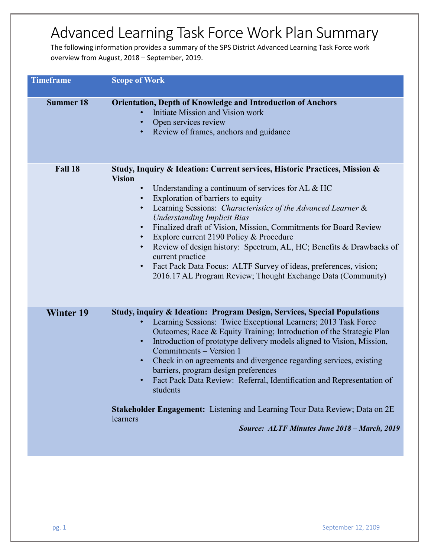## Advanced Learning Task Force Work Plan Summary

The following information provides a summary of the SPS District Advanced Learning Task Force work overview from August, 2018 – September, 2019.

| <b>Timeframe</b> | <b>Scope of Work</b>                                                                                                                                                                                                                                                                                                                                                                                                                                                                                                                                                                                                                                                                             |
|------------------|--------------------------------------------------------------------------------------------------------------------------------------------------------------------------------------------------------------------------------------------------------------------------------------------------------------------------------------------------------------------------------------------------------------------------------------------------------------------------------------------------------------------------------------------------------------------------------------------------------------------------------------------------------------------------------------------------|
| <b>Summer 18</b> | <b>Orientation, Depth of Knowledge and Introduction of Anchors</b><br>Initiate Mission and Vision work<br>Open services review<br>Review of frames, anchors and guidance                                                                                                                                                                                                                                                                                                                                                                                                                                                                                                                         |
| Fall 18          | Study, Inquiry & Ideation: Current services, Historic Practices, Mission &<br><b>Vision</b><br>Understanding a continuum of services for AL & HC<br>Exploration of barriers to equity<br>Learning Sessions: Characteristics of the Advanced Learner &<br><b>Understanding Implicit Bias</b><br>Finalized draft of Vision, Mission, Commitments for Board Review<br>$\bullet$<br>Explore current 2190 Policy & Procedure<br>Review of design history: Spectrum, AL, HC; Benefits & Drawbacks of<br>current practice<br>Fact Pack Data Focus: ALTF Survey of ideas, preferences, vision;<br>$\bullet$<br>2016.17 AL Program Review; Thought Exchange Data (Community)                              |
| <b>Winter 19</b> | Study, inquiry & Ideation: Program Design, Services, Special Populations<br>Learning Sessions: Twice Exceptional Learners; 2013 Task Force<br>Outcomes; Race & Equity Training; Introduction of the Strategic Plan<br>Introduction of prototype delivery models aligned to Vision, Mission,<br>$\bullet$<br>Commitments - Version 1<br>Check in on agreements and divergence regarding services, existing<br>$\bullet$ .<br>barriers, program design preferences<br>Fact Pack Data Review: Referral, Identification and Representation of<br>students<br>Stakeholder Engagement: Listening and Learning Tour Data Review; Data on 2E<br>learners<br>Source: ALTF Minutes June 2018 - March, 2019 |